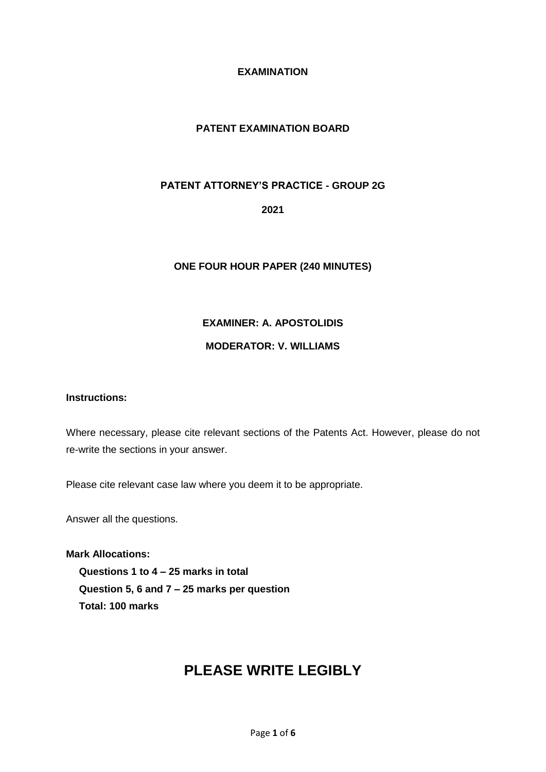# **EXAMINATION**

# **PATENT EXAMINATION BOARD**

# **PATENT ATTORNEY'S PRACTICE - GROUP 2G**

**2021**

# **ONE FOUR HOUR PAPER (240 MINUTES)**

# **EXAMINER: A. APOSTOLIDIS**

# **MODERATOR: V. WILLIAMS**

#### **Instructions:**

Where necessary, please cite relevant sections of the Patents Act. However, please do not re-write the sections in your answer.

Please cite relevant case law where you deem it to be appropriate.

Answer all the questions.

**Mark Allocations: Questions 1 to 4 – 25 marks in total Question 5, 6 and 7 – 25 marks per question Total: 100 marks**

# **PLEASE WRITE LEGIBLY**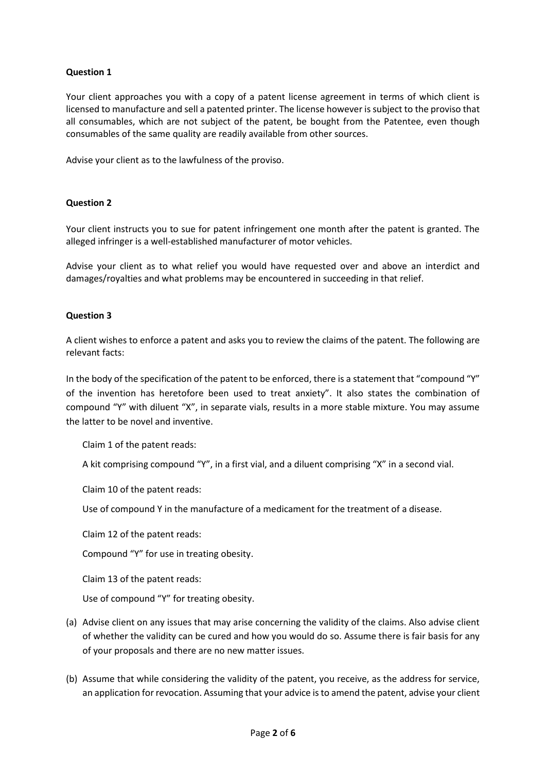# **Question 1**

Your client approaches you with a copy of a patent license agreement in terms of which client is licensed to manufacture and sell a patented printer. The license however is subject to the proviso that all consumables, which are not subject of the patent, be bought from the Patentee, even though consumables of the same quality are readily available from other sources.

Advise your client as to the lawfulness of the proviso.

#### **Question 2**

Your client instructs you to sue for patent infringement one month after the patent is granted. The alleged infringer is a well-established manufacturer of motor vehicles.

Advise your client as to what relief you would have requested over and above an interdict and damages/royalties and what problems may be encountered in succeeding in that relief.

#### **Question 3**

A client wishes to enforce a patent and asks you to review the claims of the patent. The following are relevant facts:

In the body of the specification of the patent to be enforced, there is a statement that "compound "Y" of the invention has heretofore been used to treat anxiety". It also states the combination of compound "Y" with diluent "X", in separate vials, results in a more stable mixture. You may assume the latter to be novel and inventive.

Claim 1 of the patent reads:

A kit comprising compound "Y", in a first vial, and a diluent comprising "X" in a second vial.

Claim 10 of the patent reads:

Use of compound Y in the manufacture of a medicament for the treatment of a disease.

Claim 12 of the patent reads:

Compound "Y" for use in treating obesity.

Claim 13 of the patent reads:

Use of compound "Y" for treating obesity.

- (a) Advise client on any issues that may arise concerning the validity of the claims. Also advise client of whether the validity can be cured and how you would do so. Assume there is fair basis for any of your proposals and there are no new matter issues.
- (b) Assume that while considering the validity of the patent, you receive, as the address for service, an application for revocation. Assuming that your advice is to amend the patent, advise your client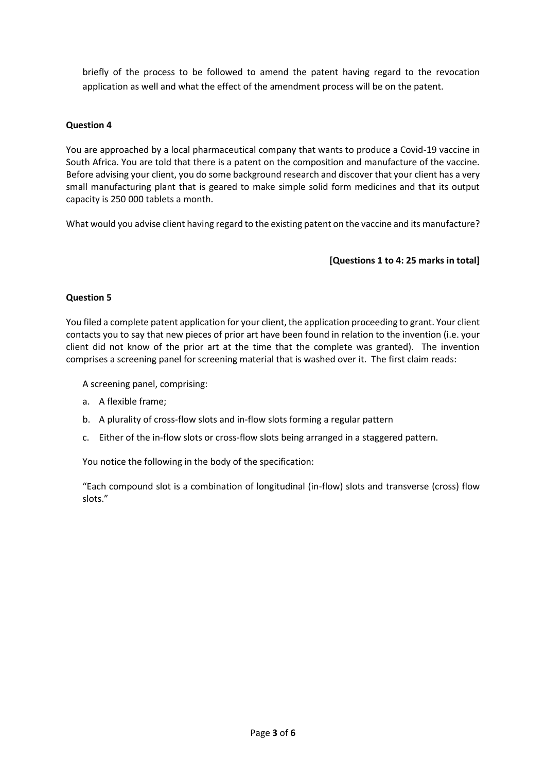briefly of the process to be followed to amend the patent having regard to the revocation application as well and what the effect of the amendment process will be on the patent.

## **Question 4**

You are approached by a local pharmaceutical company that wants to produce a Covid-19 vaccine in South Africa. You are told that there is a patent on the composition and manufacture of the vaccine. Before advising your client, you do some background research and discover that your client has a very small manufacturing plant that is geared to make simple solid form medicines and that its output capacity is 250 000 tablets a month.

What would you advise client having regard to the existing patent on the vaccine and its manufacture?

## **[Questions 1 to 4: 25 marks in total]**

## **Question 5**

You filed a complete patent application for your client, the application proceeding to grant. Your client contacts you to say that new pieces of prior art have been found in relation to the invention (i.e. your client did not know of the prior art at the time that the complete was granted). The invention comprises a screening panel for screening material that is washed over it. The first claim reads:

A screening panel, comprising:

- a. A flexible frame;
- b. A plurality of cross-flow slots and in-flow slots forming a regular pattern
- c. Either of the in-flow slots or cross-flow slots being arranged in a staggered pattern.

You notice the following in the body of the specification:

"Each compound slot is a combination of longitudinal (in-flow) slots and transverse (cross) flow slots."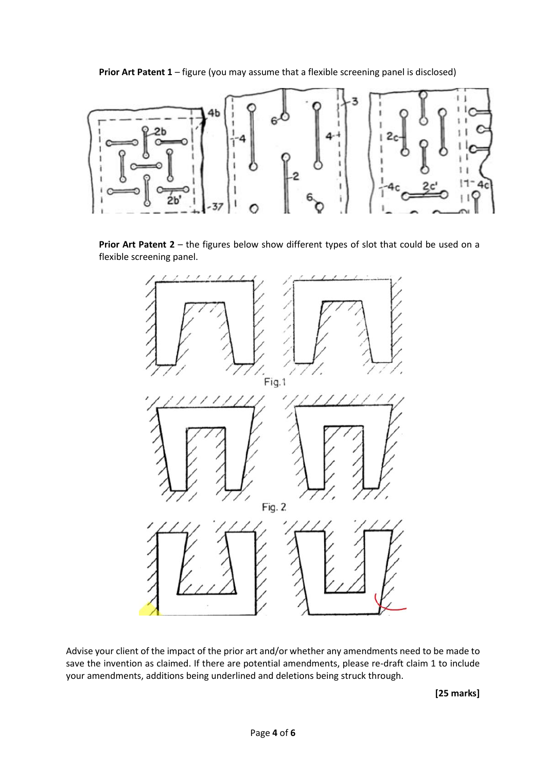**Prior Art Patent 1** – figure (you may assume that a flexible screening panel is disclosed)



**Prior Art Patent 2** – the figures below show different types of slot that could be used on a flexible screening panel.



Advise your client of the impact of the prior art and/or whether any amendments need to be made to save the invention as claimed. If there are potential amendments, please re-draft claim 1 to include your amendments, additions being underlined and deletions being struck through.

**[25 marks]**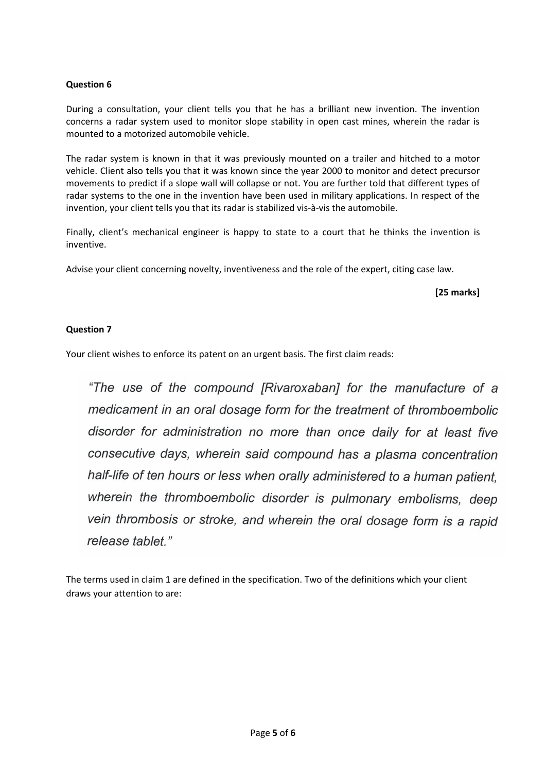## **Question 6**

During a consultation, your client tells you that he has a brilliant new invention. The invention concerns a radar system used to monitor slope stability in open cast mines, wherein the radar is mounted to a motorized automobile vehicle.

The radar system is known in that it was previously mounted on a trailer and hitched to a motor vehicle. Client also tells you that it was known since the year 2000 to monitor and detect precursor movements to predict if a slope wall will collapse or not. You are further told that different types of radar systems to the one in the invention have been used in military applications. In respect of the invention, your client tells you that its radar is stabilized vis-à-vis the automobile.

Finally, client's mechanical engineer is happy to state to a court that he thinks the invention is inventive.

Advise your client concerning novelty, inventiveness and the role of the expert, citing case law.

**[25 marks]**

## **Question 7**

Your client wishes to enforce its patent on an urgent basis. The first claim reads:

"The use of the compound [Rivaroxaban] for the manufacture of a medicament in an oral dosage form for the treatment of thromboembolic disorder for administration no more than once daily for at least five consecutive days, wherein said compound has a plasma concentration half-life of ten hours or less when orally administered to a human patient. wherein the thromboembolic disorder is pulmonary embolisms, deep vein thrombosis or stroke, and wherein the oral dosage form is a rapid release tablet."

The terms used in claim 1 are defined in the specification. Two of the definitions which your client draws your attention to are: